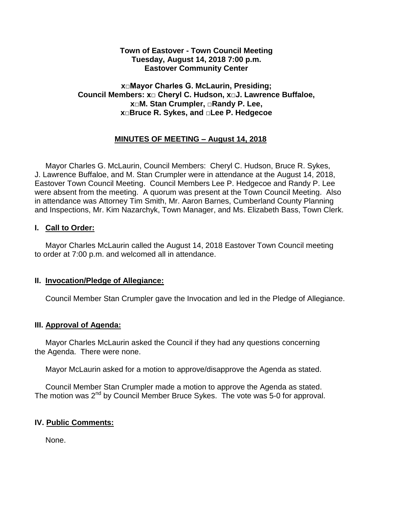## **Town of Eastover - Town Council Meeting Tuesday, August 14, 2018 7:00 p.m. Eastover Community Center**

## **x□Mayor Charles G. McLaurin, Presiding; Council Members: x□ Cheryl C. Hudson, x□J. Lawrence Buffaloe, x□M. Stan Crumpler, □Randy P. Lee, x□Bruce R. Sykes, and □Lee P. Hedgecoe**

# **MINUTES OF MEETING – August 14, 2018**

 Mayor Charles G. McLaurin, Council Members: Cheryl C. Hudson, Bruce R. Sykes, J. Lawrence Buffaloe, and M. Stan Crumpler were in attendance at the August 14, 2018, Eastover Town Council Meeting. Council Members Lee P. Hedgecoe and Randy P. Lee were absent from the meeting. A quorum was present at the Town Council Meeting. Also in attendance was Attorney Tim Smith, Mr. Aaron Barnes, Cumberland County Planning and Inspections, Mr. Kim Nazarchyk, Town Manager, and Ms. Elizabeth Bass, Town Clerk.

## **I. Call to Order:**

 Mayor Charles McLaurin called the August 14, 2018 Eastover Town Council meeting to order at 7:00 p.m. and welcomed all in attendance.

## **II. Invocation/Pledge of Allegiance:**

Council Member Stan Crumpler gave the Invocation and led in the Pledge of Allegiance.

# **III. Approval of Agenda:**

 Mayor Charles McLaurin asked the Council if they had any questions concerning the Agenda. There were none.

Mayor McLaurin asked for a motion to approve/disapprove the Agenda as stated.

 Council Member Stan Crumpler made a motion to approve the Agenda as stated. The motion was 2<sup>nd</sup> by Council Member Bruce Sykes. The vote was 5-0 for approval.

## **IV. Public Comments:**

None.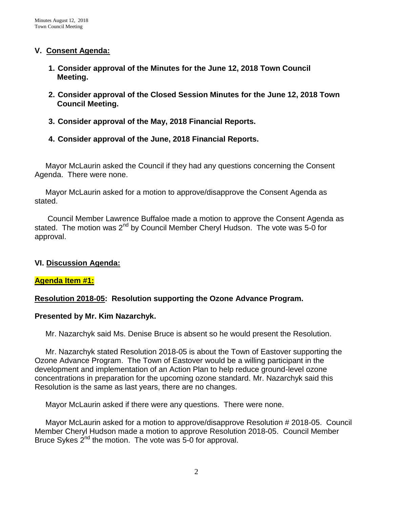## **V. Consent Agenda:**

- **1. Consider approval of the Minutes for the June 12, 2018 Town Council Meeting.**
- **2. Consider approval of the Closed Session Minutes for the June 12, 2018 Town Council Meeting.**
- **3. Consider approval of the May, 2018 Financial Reports.**
- **4. Consider approval of the June, 2018 Financial Reports.**

 Mayor McLaurin asked the Council if they had any questions concerning the Consent Agenda. There were none.

 Mayor McLaurin asked for a motion to approve/disapprove the Consent Agenda as stated.

 Council Member Lawrence Buffaloe made a motion to approve the Consent Agenda as stated. The motion was  $2^{nd}$  by Council Member Cheryl Hudson. The vote was 5-0 for approval.

# **VI. Discussion Agenda:**

## **Agenda Item #1:**

# **Resolution 2018-05: Resolution supporting the Ozone Advance Program.**

## **Presented by Mr. Kim Nazarchyk.**

Mr. Nazarchyk said Ms. Denise Bruce is absent so he would present the Resolution.

 Mr. Nazarchyk stated Resolution 2018-05 is about the Town of Eastover supporting the Ozone Advance Program. The Town of Eastover would be a willing participant in the development and implementation of an Action Plan to help reduce ground-level ozone concentrations in preparation for the upcoming ozone standard. Mr. Nazarchyk said this Resolution is the same as last years, there are no changes.

Mayor McLaurin asked if there were any questions. There were none.

 Mayor McLaurin asked for a motion to approve/disapprove Resolution # 2018-05. Council Member Cheryl Hudson made a motion to approve Resolution 2018-05. Council Member Bruce Sykes  $2^{nd}$  the motion. The vote was 5-0 for approval.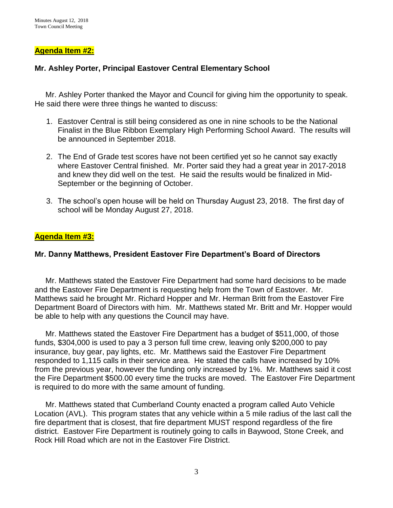### **Agenda Item #2:**

### **Mr. Ashley Porter, Principal Eastover Central Elementary School**

Mr. Ashley Porter thanked the Mayor and Council for giving him the opportunity to speak. He said there were three things he wanted to discuss:

- 1. Eastover Central is still being considered as one in nine schools to be the National Finalist in the Blue Ribbon Exemplary High Performing School Award. The results will be announced in September 2018.
- 2. The End of Grade test scores have not been certified yet so he cannot say exactly where Eastover Central finished. Mr. Porter said they had a great year in 2017-2018 and knew they did well on the test. He said the results would be finalized in Mid-September or the beginning of October.
- 3. The school's open house will be held on Thursday August 23, 2018. The first day of school will be Monday August 27, 2018.

#### **Agenda Item #3:**

#### **Mr. Danny Matthews, President Eastover Fire Department's Board of Directors**

 Mr. Matthews stated the Eastover Fire Department had some hard decisions to be made and the Eastover Fire Department is requesting help from the Town of Eastover. Mr. Matthews said he brought Mr. Richard Hopper and Mr. Herman Britt from the Eastover Fire Department Board of Directors with him. Mr. Matthews stated Mr. Britt and Mr. Hopper would be able to help with any questions the Council may have.

 Mr. Matthews stated the Eastover Fire Department has a budget of \$511,000, of those funds, \$304,000 is used to pay a 3 person full time crew, leaving only \$200,000 to pay insurance, buy gear, pay lights, etc. Mr. Matthews said the Eastover Fire Department responded to 1,115 calls in their service area. He stated the calls have increased by 10% from the previous year, however the funding only increased by 1%. Mr. Matthews said it cost the Fire Department \$500.00 every time the trucks are moved. The Eastover Fire Department is required to do more with the same amount of funding.

 Mr. Matthews stated that Cumberland County enacted a program called Auto Vehicle Location (AVL). This program states that any vehicle within a 5 mile radius of the last call the fire department that is closest, that fire department MUST respond regardless of the fire district. Eastover Fire Department is routinely going to calls in Baywood, Stone Creek, and Rock Hill Road which are not in the Eastover Fire District.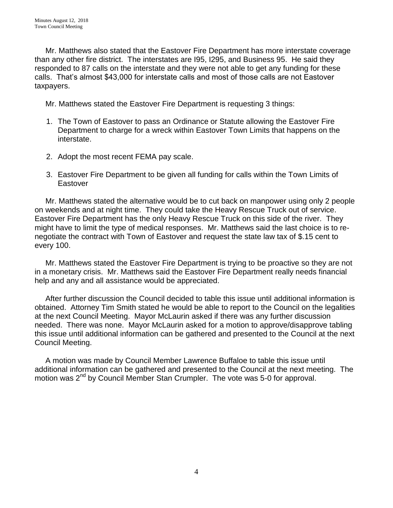Mr. Matthews also stated that the Eastover Fire Department has more interstate coverage than any other fire district. The interstates are I95, I295, and Business 95. He said they responded to 87 calls on the interstate and they were not able to get any funding for these calls. That's almost \$43,000 for interstate calls and most of those calls are not Eastover taxpayers.

Mr. Matthews stated the Eastover Fire Department is requesting 3 things:

- 1. The Town of Eastover to pass an Ordinance or Statute allowing the Eastover Fire Department to charge for a wreck within Eastover Town Limits that happens on the interstate.
- 2. Adopt the most recent FEMA pay scale.
- 3. Eastover Fire Department to be given all funding for calls within the Town Limits of Eastover

 Mr. Matthews stated the alternative would be to cut back on manpower using only 2 people on weekends and at night time. They could take the Heavy Rescue Truck out of service. Eastover Fire Department has the only Heavy Rescue Truck on this side of the river. They might have to limit the type of medical responses. Mr. Matthews said the last choice is to renegotiate the contract with Town of Eastover and request the state law tax of \$.15 cent to every 100.

 Mr. Matthews stated the Eastover Fire Department is trying to be proactive so they are not in a monetary crisis. Mr. Matthews said the Eastover Fire Department really needs financial help and any and all assistance would be appreciated.

 After further discussion the Council decided to table this issue until additional information is obtained. Attorney Tim Smith stated he would be able to report to the Council on the legalities at the next Council Meeting. Mayor McLaurin asked if there was any further discussion needed. There was none. Mayor McLaurin asked for a motion to approve/disapprove tabling this issue until additional information can be gathered and presented to the Council at the next Council Meeting.

 A motion was made by Council Member Lawrence Buffaloe to table this issue until additional information can be gathered and presented to the Council at the next meeting. The motion was 2<sup>nd</sup> by Council Member Stan Crumpler. The vote was 5-0 for approval.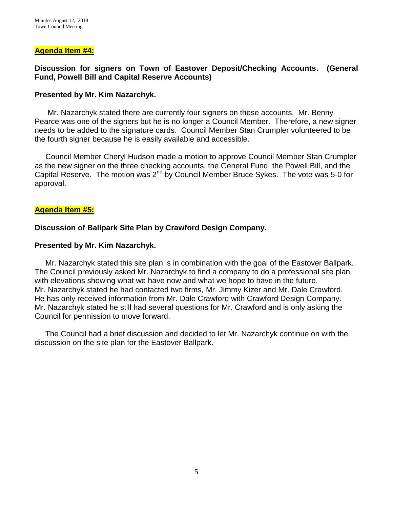#### **Agenda Item #4:**

### **Discussion for signers on Town of Eastover Deposit/Checking Accounts. (General Fund, Powell Bill and Capital Reserve Accounts)**

#### **Presented by Mr. Kim Nazarchyk.**

 Mr. Nazarchyk stated there are currently four signers on these accounts. Mr. Benny Pearce was one of the signers but he is no longer a Council Member. Therefore, a new signer needs to be added to the signature cards. Council Member Stan Crumpler volunteered to be the fourth signer because he is easily available and accessible.

 Council Member Cheryl Hudson made a motion to approve Council Member Stan Crumpler as the new signer on the three checking accounts, the General Fund, the Powell Bill, and the Capital Reserve. The motion was 2<sup>nd</sup> by Council Member Bruce Sykes. The vote was 5-0 for approval.

#### **Agenda Item #5:**

#### **Discussion of Ballpark Site Plan by Crawford Design Company.**

#### **Presented by Mr. Kim Nazarchyk.**

 Mr. Nazarchyk stated this site plan is in combination with the goal of the Eastover Ballpark. The Council previously asked Mr. Nazarchyk to find a company to do a professional site plan with elevations showing what we have now and what we hope to have in the future. Mr. Nazarchyk stated he had contacted two firms, Mr. Jimmy Kizer and Mr. Dale Crawford. He has only received information from Mr. Dale Crawford with Crawford Design Company. Mr. Nazarchyk stated he still had several questions for Mr. Crawford and is only asking the Council for permission to move forward.

 The Council had a brief discussion and decided to let Mr. Nazarchyk continue on with the discussion on the site plan for the Eastover Ballpark.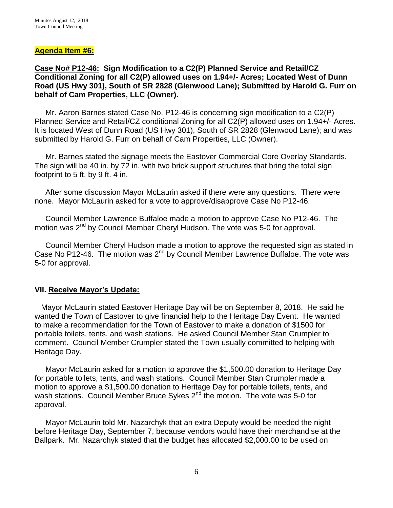### **Agenda Item #6:**

**Case No# P12-46: Sign Modification to a C2(P) Planned Service and Retail/CZ Conditional Zoning for all C2(P) allowed uses on 1.94+/- Acres; Located West of Dunn Road (US Hwy 301), South of SR 2828 (Glenwood Lane); Submitted by Harold G. Furr on behalf of Cam Properties, LLC (Owner).**

Mr. Aaron Barnes stated Case No. P12-46 is concerning sign modification to a C2(P) Planned Service and Retail/CZ conditional Zoning for all C2(P) allowed uses on 1.94+/- Acres. It is located West of Dunn Road (US Hwy 301), South of SR 2828 (Glenwood Lane); and was submitted by Harold G. Furr on behalf of Cam Properties, LLC (Owner).

 Mr. Barnes stated the signage meets the Eastover Commercial Core Overlay Standards. The sign will be 40 in. by 72 in. with two brick support structures that bring the total sign footprint to 5 ft. by 9 ft. 4 in.

 After some discussion Mayor McLaurin asked if there were any questions. There were none. Mayor McLaurin asked for a vote to approve/disapprove Case No P12-46.

 Council Member Lawrence Buffaloe made a motion to approve Case No P12-46. The motion was 2<sup>nd</sup> by Council Member Cheryl Hudson. The vote was 5-0 for approval.

 Council Member Cheryl Hudson made a motion to approve the requested sign as stated in Case No P12-46. The motion was 2<sup>nd</sup> by Council Member Lawrence Buffaloe. The vote was 5-0 for approval.

## **VII. Receive Mayor's Update:**

 Mayor McLaurin stated Eastover Heritage Day will be on September 8, 2018. He said he wanted the Town of Eastover to give financial help to the Heritage Day Event. He wanted to make a recommendation for the Town of Eastover to make a donation of \$1500 for portable toilets, tents, and wash stations. He asked Council Member Stan Crumpler to comment. Council Member Crumpler stated the Town usually committed to helping with Heritage Day.

 Mayor McLaurin asked for a motion to approve the \$1,500.00 donation to Heritage Day for portable toilets, tents, and wash stations. Council Member Stan Crumpler made a motion to approve a \$1,500.00 donation to Heritage Day for portable toilets, tents, and wash stations. Council Member Bruce Sykes 2<sup>nd</sup> the motion. The vote was 5-0 for approval.

 Mayor McLaurin told Mr. Nazarchyk that an extra Deputy would be needed the night before Heritage Day, September 7, because vendors would have their merchandise at the Ballpark. Mr. Nazarchyk stated that the budget has allocated \$2,000.00 to be used on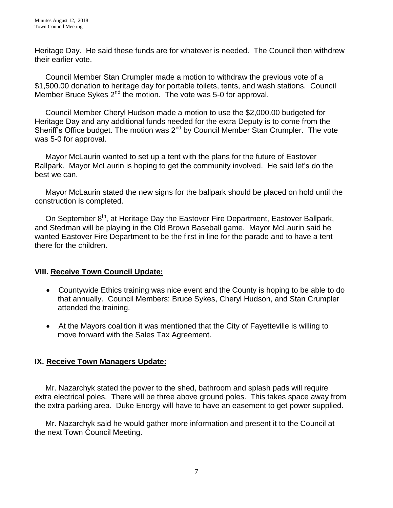Heritage Day. He said these funds are for whatever is needed. The Council then withdrew their earlier vote.

 Council Member Stan Crumpler made a motion to withdraw the previous vote of a \$1,500.00 donation to heritage day for portable toilets, tents, and wash stations. Council Member Bruce Sykes  $2^{nd}$  the motion. The vote was 5-0 for approval.

 Council Member Cheryl Hudson made a motion to use the \$2,000.00 budgeted for Heritage Day and any additional funds needed for the extra Deputy is to come from the Sheriff's Office budget. The motion was  $2^{nd}$  by Council Member Stan Crumpler. The vote was 5-0 for approval.

 Mayor McLaurin wanted to set up a tent with the plans for the future of Eastover Ballpark. Mayor McLaurin is hoping to get the community involved. He said let's do the best we can.

 Mayor McLaurin stated the new signs for the ballpark should be placed on hold until the construction is completed.

On September 8<sup>th</sup>, at Heritage Day the Eastover Fire Department, Eastover Ballpark, and Stedman will be playing in the Old Brown Baseball game. Mayor McLaurin said he wanted Eastover Fire Department to be the first in line for the parade and to have a tent there for the children.

# **VIII. Receive Town Council Update:**

- Countywide Ethics training was nice event and the County is hoping to be able to do that annually. Council Members: Bruce Sykes, Cheryl Hudson, and Stan Crumpler attended the training.
- At the Mayors coalition it was mentioned that the City of Fayetteville is willing to move forward with the Sales Tax Agreement.

# **IX. Receive Town Managers Update:**

 Mr. Nazarchyk stated the power to the shed, bathroom and splash pads will require extra electrical poles. There will be three above ground poles. This takes space away from the extra parking area. Duke Energy will have to have an easement to get power supplied.

 Mr. Nazarchyk said he would gather more information and present it to the Council at the next Town Council Meeting.